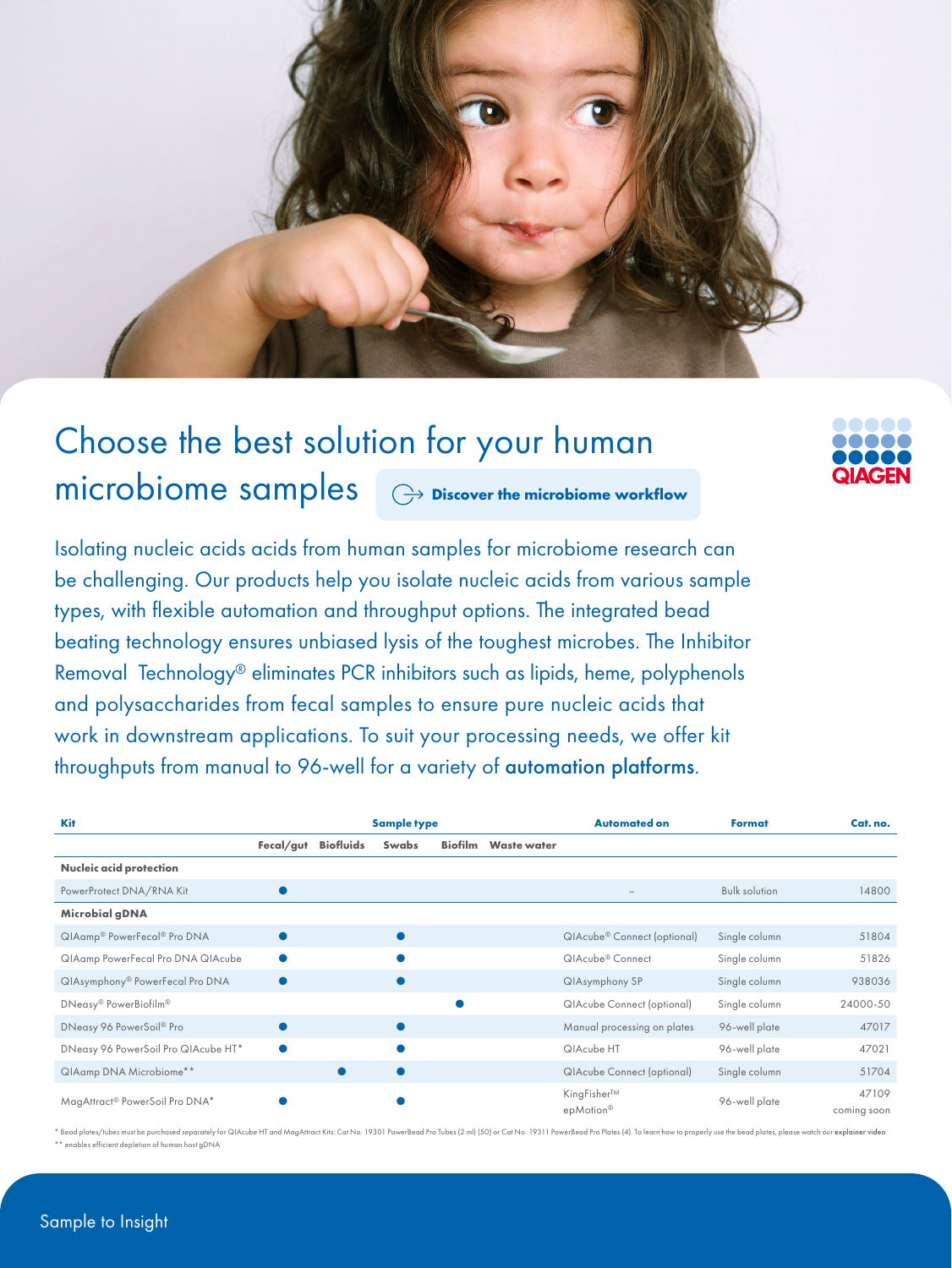

## Choose the best solution for your human microbiome samples **[Discover the microbiome workflow](https://www.qiagen.com/applications/microbiome)**



Isolating nucleic acids acids from human samples for microbiome research can be challenging. Our products help you isolate nucleic acids from various sample types, with flexible automation and throughput options. The integrated bead beating technology ensures unbiased lysis of the toughest microbes. The Inhibitor Removal Technology® eliminates PCR inhibitors such as lipids, heme, polyphenols and polysaccharides from fecal samples to ensure pure nucleic acids that work in downstream applications. To suit your processing needs, we offer kit throughputs from manual to 96-well for a variety of [automation platforms](https://www.qiagen.com/applications/microbiome#automated-solutions).

| <b>Kit</b>                          | <b>Sample type</b> |                  |           |                |                    | <b>Automated on</b>                     | Format               | Cat. no.             |
|-------------------------------------|--------------------|------------------|-----------|----------------|--------------------|-----------------------------------------|----------------------|----------------------|
|                                     | Fecal/gut          | <b>Biofluids</b> | Swabs     | <b>Biofilm</b> | <b>Waste water</b> |                                         |                      |                      |
| Nucleic acid protection             |                    |                  |           |                |                    |                                         |                      |                      |
| PowerProtect DNA/RNA Kit            |                    |                  |           |                |                    | $\overline{\phantom{a}}$                | <b>Bulk solution</b> | 14800                |
| Microbial gDNA                      |                    |                  |           |                |                    |                                         |                      |                      |
| QIAamp® PowerFecal® Pro DNA         |                    |                  | $\bullet$ |                |                    | QIAcube <sup>®</sup> Connect (optional) | Single column        | 51804                |
| QIAamp PowerFecal Pro DNA QIAcube   |                    |                  |           |                |                    | QIAcube <sup>®</sup> Connect            | Single column        | 51826                |
| QIAsymphony® PowerFecal Pro DNA     |                    |                  | 0         |                |                    | QIAsymphony SP                          | Single column        | 938036               |
| DNeasy® PowerBiofilm®               |                    |                  |           |                |                    | <b>QIAcube Connect (optional)</b>       | Single column        | 24000-50             |
| DNeasy 96 PowerSoil® Pro            |                    |                  |           |                |                    | Manual processing on plates             | 96-well plate        | 47017                |
| DNeasy 96 PowerSoil Pro QIAcube HT* |                    |                  |           |                |                    | QIAcube HT                              | 96-well plate        | 47021                |
| QIAamp DNA Microbiome**             |                    | $\bullet$        | $\bullet$ |                |                    | <b>QIAcube Connect (optional)</b>       | Single column        | 51704                |
| MagAttract® PowerSoil Pro DNA*      |                    |                  |           |                |                    | KingFisher™<br>epMotion <sup>®</sup>    | 96-well plate        | 47109<br>coming soon |

ad plates/tubes must be purchased separately for QIAcube HT and MagAttract Kits: Cat No. 19301 PowerBead Pro Tubes (2 ml) [50] or Cat No. 19311 PowerBead Pro Plates (4). To learn how to properly use the bead plates, please \*\* enables efficient depletion of human host gDNA